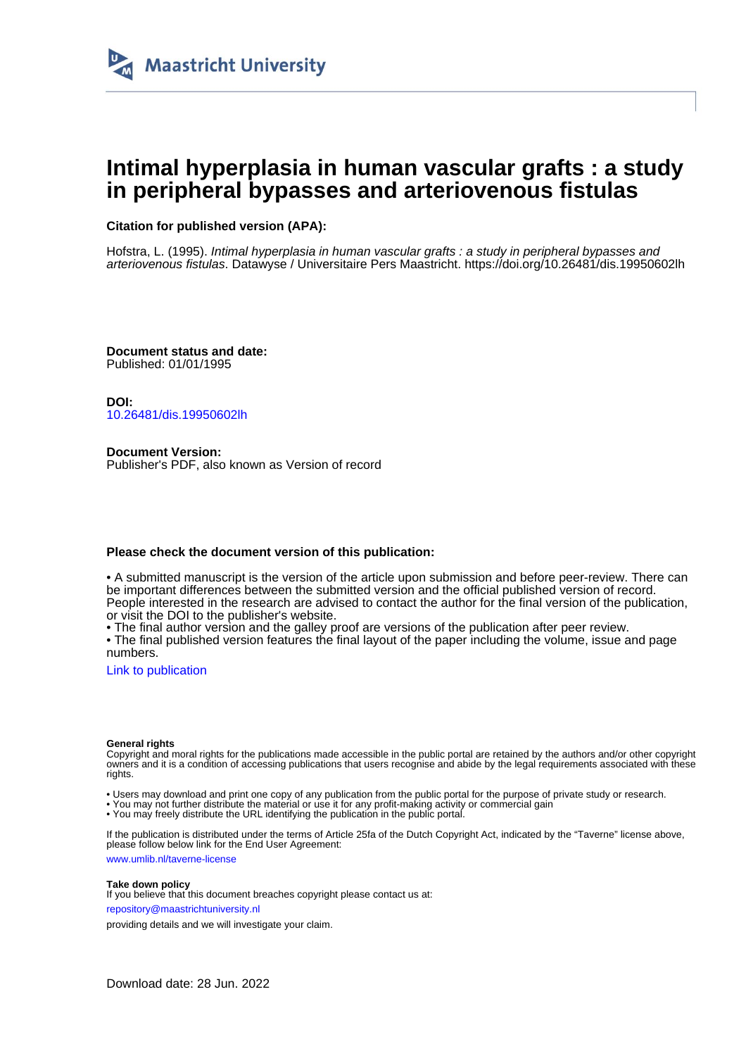

# **Intimal hyperplasia in human vascular grafts : a study in peripheral bypasses and arteriovenous fistulas**

### **Citation for published version (APA):**

Hofstra, L. (1995). Intimal hyperplasia in human vascular grafts : a study in peripheral bypasses and arteriovenous fistulas. Datawyse / Universitaire Pers Maastricht. <https://doi.org/10.26481/dis.19950602lh>

**Document status and date:** Published: 01/01/1995

**DOI:** [10.26481/dis.19950602lh](https://doi.org/10.26481/dis.19950602lh)

**Document Version:** Publisher's PDF, also known as Version of record

#### **Please check the document version of this publication:**

• A submitted manuscript is the version of the article upon submission and before peer-review. There can be important differences between the submitted version and the official published version of record. People interested in the research are advised to contact the author for the final version of the publication, or visit the DOI to the publisher's website.

• The final author version and the galley proof are versions of the publication after peer review.

• The final published version features the final layout of the paper including the volume, issue and page numbers.

[Link to publication](https://cris.maastrichtuniversity.nl/en/publications/d4a5f58d-0625-4533-ac6a-c976ba9493f3)

#### **General rights**

Copyright and moral rights for the publications made accessible in the public portal are retained by the authors and/or other copyright owners and it is a condition of accessing publications that users recognise and abide by the legal requirements associated with these rights.

• Users may download and print one copy of any publication from the public portal for the purpose of private study or research.

• You may not further distribute the material or use it for any profit-making activity or commercial gain

• You may freely distribute the URL identifying the publication in the public portal.

If the publication is distributed under the terms of Article 25fa of the Dutch Copyright Act, indicated by the "Taverne" license above, please follow below link for the End User Agreement:

www.umlib.nl/taverne-license

#### **Take down policy**

If you believe that this document breaches copyright please contact us at: repository@maastrichtuniversity.nl

providing details and we will investigate your claim.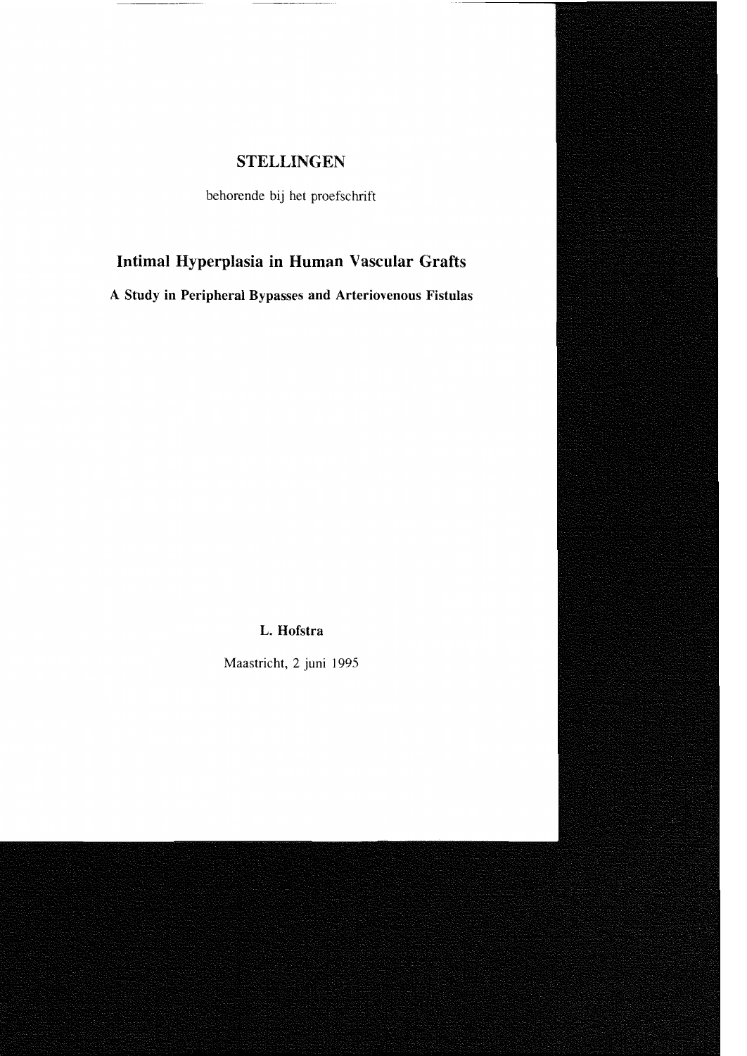## **STELLINGEN**

behorende bij het proefschrift

# Intimal Hyperplasia in Human Vascular Grafts

A Study in Peripheral Bypasses and Arteriovenous Fistulas

### L. Hofstra

Maastricht, 2 juni 1995